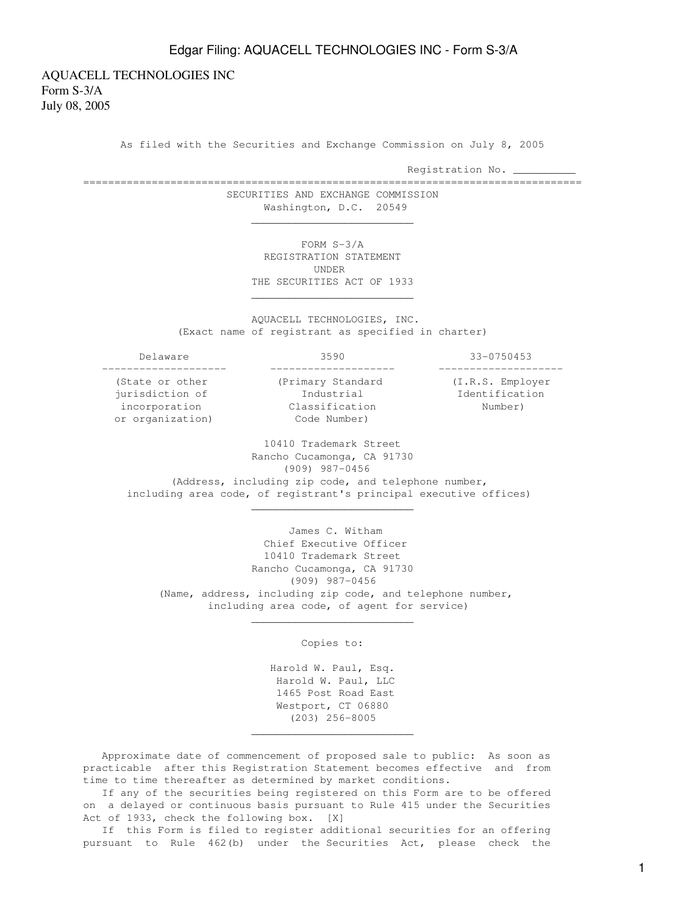AQUACELL TECHNOLOGIES INC Form S-3/A July 08, 2005

As filed with the Securities and Exchange Commission on July 8, 2005

Registration No. \_

================================================================================ SECURITIES AND EXCHANGE COMMISSION Washington, D.C. 20549

 $\frac{1}{\sqrt{2}}$  ,  $\frac{1}{\sqrt{2}}$  ,  $\frac{1}{\sqrt{2}}$  ,  $\frac{1}{\sqrt{2}}$  ,  $\frac{1}{\sqrt{2}}$  ,  $\frac{1}{\sqrt{2}}$  ,  $\frac{1}{\sqrt{2}}$  ,  $\frac{1}{\sqrt{2}}$  ,  $\frac{1}{\sqrt{2}}$  ,  $\frac{1}{\sqrt{2}}$  ,  $\frac{1}{\sqrt{2}}$  ,  $\frac{1}{\sqrt{2}}$  ,  $\frac{1}{\sqrt{2}}$  ,  $\frac{1}{\sqrt{2}}$  ,  $\frac{1}{\sqrt{2}}$ 

 $\mathcal{L}_\text{max}$  , and the set of the set of the set of the set of the set of the set of the set of the set of the set of the set of the set of the set of the set of the set of the set of the set of the set of the set of the

 $\frac{1}{\sqrt{2}}$  ,  $\frac{1}{\sqrt{2}}$  ,  $\frac{1}{\sqrt{2}}$  ,  $\frac{1}{\sqrt{2}}$  ,  $\frac{1}{\sqrt{2}}$  ,  $\frac{1}{\sqrt{2}}$  ,  $\frac{1}{\sqrt{2}}$  ,  $\frac{1}{\sqrt{2}}$  ,  $\frac{1}{\sqrt{2}}$  ,  $\frac{1}{\sqrt{2}}$  ,  $\frac{1}{\sqrt{2}}$  ,  $\frac{1}{\sqrt{2}}$  ,  $\frac{1}{\sqrt{2}}$  ,  $\frac{1}{\sqrt{2}}$  ,  $\frac{1}{\sqrt{2}}$ 

 $\frac{1}{\sqrt{2}}$  ,  $\frac{1}{\sqrt{2}}$  ,  $\frac{1}{\sqrt{2}}$  ,  $\frac{1}{\sqrt{2}}$  ,  $\frac{1}{\sqrt{2}}$  ,  $\frac{1}{\sqrt{2}}$  ,  $\frac{1}{\sqrt{2}}$  ,  $\frac{1}{\sqrt{2}}$  ,  $\frac{1}{\sqrt{2}}$  ,  $\frac{1}{\sqrt{2}}$  ,  $\frac{1}{\sqrt{2}}$  ,  $\frac{1}{\sqrt{2}}$  ,  $\frac{1}{\sqrt{2}}$  ,  $\frac{1}{\sqrt{2}}$  ,  $\frac{1}{\sqrt{2}}$ 

 $\mathcal{L}_\text{max}$  , and the set of the set of the set of the set of the set of the set of the set of the set of the set of the set of the set of the set of the set of the set of the set of the set of the set of the set of the

 FORM S-3/A REGISTRATION STATEMENT UNDER THE SECURITIES ACT OF 1933

 AQUACELL TECHNOLOGIES, INC. (Exact name of registrant as specified in charter)

 -------------------- -------------------- ------------------- incorporation Classification Number)

 Delaware 3590 33-0750453 (State or other (Primary Standard (I.R.S. Employer jurisdiction of The Industrial The Identification

or organization) Code Number)

 10410 Trademark Street Rancho Cucamonga, CA 91730 (909) 987-0456 (Address, including zip code, and telephone number, including area code, of registrant's principal executive offices)

 James C. Witham Chief Executive Officer 10410 Trademark Street Rancho Cucamonga, CA 91730 (909) 987-0456 (Name, address, including zip code, and telephone number, including area code, of agent for service)

Copies to:

 Harold W. Paul, Esq. Harold W. Paul, LLC 1465 Post Road East Westport, CT 06880 (203) 256-8005

 Approximate date of commencement of proposed sale to public: As soon as practicable after this Registration Statement becomes effective and from time to time thereafter as determined by market conditions.

 If any of the securities being registered on this Form are to be offered on a delayed or continuous basis pursuant to Rule 415 under the Securities Act of 1933, check the following box. [X]

 If this Form is filed to register additional securities for an offering pursuant to Rule 462(b) under the Securities Act, please check the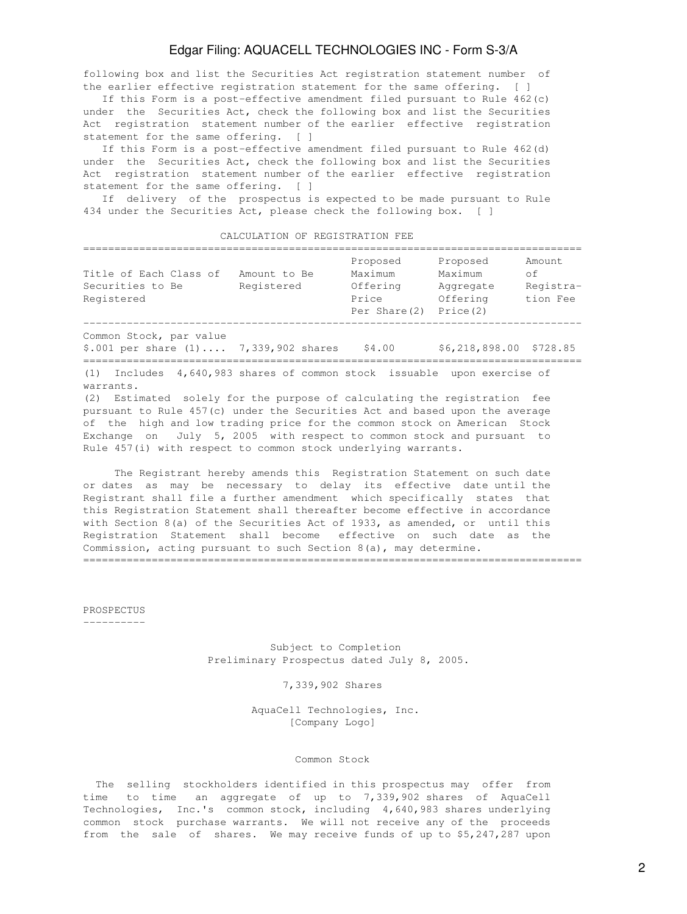following box and list the Securities Act registration statement number of the earlier effective registration statement for the same offering. [ ]

 If this Form is a post-effective amendment filed pursuant to Rule 462(c) under the Securities Act, check the following box and list the Securities Act registration statement number of the earlier effective registration statement for the same offering. [ ]

 If this Form is a post-effective amendment filed pursuant to Rule 462(d) under the Securities Act, check the following box and list the Securities Act registration statement number of the earlier effective registration statement for the same offering. [ ]

 If delivery of the prospectus is expected to be made pursuant to Rule 434 under the Securities Act, please check the following box. [ ]

CALCULATION OF REGISTRATION FEE

| Title of Each Class of<br>Amount to Be<br>Securities to Be<br>Registered<br>Registered                                                                                 | Proposed<br>Maximum<br>Offering<br>Price<br>Per Share(2) | Proposed<br>Maximum<br>Aggregate<br>Offering<br>Price (2) | Amount.<br>of.<br>Registra-<br>tion Fee |
|------------------------------------------------------------------------------------------------------------------------------------------------------------------------|----------------------------------------------------------|-----------------------------------------------------------|-----------------------------------------|
| Common Stock, par value<br>$$.001$ per share $(1) \ldots 7,339,902$ shares                                                                                             | \$4.00                                                   | \$6,218,898.00 \$728.85                                   |                                         |
| 4,640,983 shares of common stock issuable upon exercise of<br>(1)<br>Includes<br>warrants.<br>(2) Estimated solely for the purpose of calculating the registration fee |                                                          |                                                           |                                         |

pursuant to Rule 457(c) under the Securities Act and based upon the average of the high and low trading price for the common stock on American Stock Exchange on July 5, 2005 with respect to common stock and pursuant to Rule 457(i) with respect to common stock underlying warrants.

 The Registrant hereby amends this Registration Statement on such date or dates as may be necessary to delay its effective date until the Registrant shall file a further amendment which specifically states that this Registration Statement shall thereafter become effective in accordance with Section 8(a) of the Securities Act of 1933, as amended, or until this Registration Statement shall become effective on such date as the Commission, acting pursuant to such Section 8(a), may determine. ================================================================================

PROSPECTUS

----------

 Subject to Completion Preliminary Prospectus dated July 8, 2005.

### 7,339,902 Shares

 AquaCell Technologies, Inc. [Company Logo]

#### Common Stock

 The selling stockholders identified in this prospectus may offer from time to time an aggregate of up to 7,339,902 shares of AquaCell Technologies, Inc.'s common stock, including 4,640,983 shares underlying common stock purchase warrants. We will not receive any of the proceeds from the sale of shares. We may receive funds of up to \$5,247,287 upon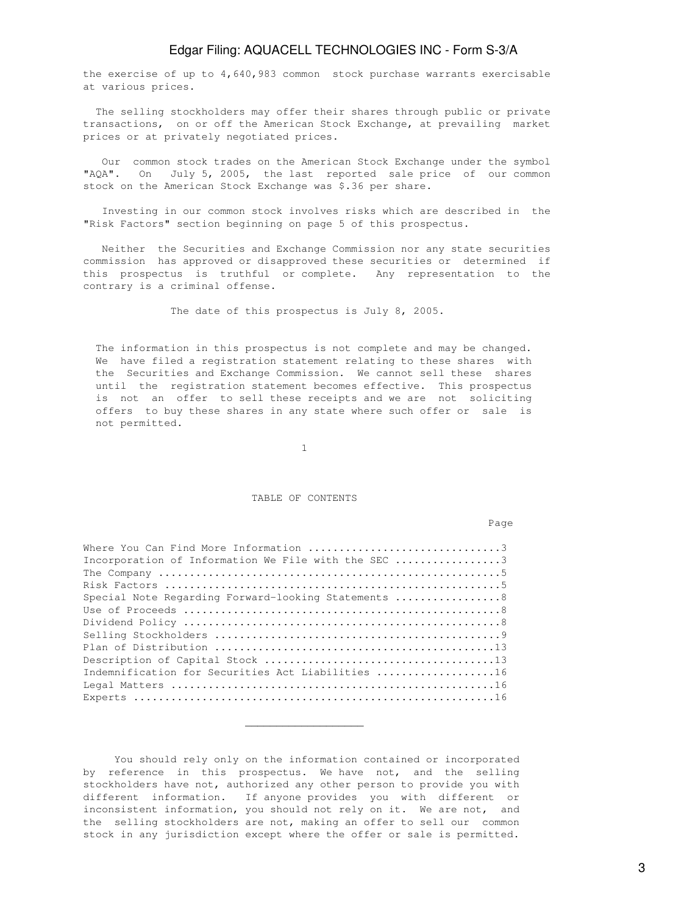the exercise of up to 4,640,983 common stock purchase warrants exercisable at various prices.

 The selling stockholders may offer their shares through public or private transactions, on or off the American Stock Exchange, at prevailing market prices or at privately negotiated prices.

 Our common stock trades on the American Stock Exchange under the symbol "AQA". On July 5, 2005, the last reported sale price of our common stock on the American Stock Exchange was \$.36 per share.

 Investing in our common stock involves risks which are described in the "Risk Factors" section beginning on page 5 of this prospectus.

 Neither the Securities and Exchange Commission nor any state securities commission has approved or disapproved these securities or determined if this prospectus is truthful or complete. Any representation to the contrary is a criminal offense.

The date of this prospectus is July 8, 2005.

 The information in this prospectus is not complete and may be changed. We have filed a registration statement relating to these shares with the Securities and Exchange Commission. We cannot sell these shares until the registration statement becomes effective. This prospectus is not an offer to sell these receipts and we are not soliciting offers to buy these shares in any state where such offer or sale is not permitted.

1

#### TABLE OF CONTENTS

nd a bhainn an chuid ann an t-an chuid ann an chuid ann an chuid ann an chuid ann an chuid ann an chuid an chu

| Incorporation of Information We File with the SEC 3  |
|------------------------------------------------------|
|                                                      |
|                                                      |
| Special Note Regarding Forward-looking Statements  8 |
|                                                      |
|                                                      |
|                                                      |
|                                                      |
|                                                      |
| Indemnification for Securities Act Liabilities 16    |
|                                                      |
|                                                      |

 $\frac{1}{\sqrt{2}}$  ,  $\frac{1}{\sqrt{2}}$  ,  $\frac{1}{\sqrt{2}}$  ,  $\frac{1}{\sqrt{2}}$  ,  $\frac{1}{\sqrt{2}}$  ,  $\frac{1}{\sqrt{2}}$  ,  $\frac{1}{\sqrt{2}}$  ,  $\frac{1}{\sqrt{2}}$  ,  $\frac{1}{\sqrt{2}}$  ,  $\frac{1}{\sqrt{2}}$  ,  $\frac{1}{\sqrt{2}}$  ,  $\frac{1}{\sqrt{2}}$  ,  $\frac{1}{\sqrt{2}}$  ,  $\frac{1}{\sqrt{2}}$  ,  $\frac{1}{\sqrt{2}}$ 

 You should rely only on the information contained or incorporated by reference in this prospectus. We have not, and the selling stockholders have not, authorized any other person to provide you with different information. If anyone provides you with different or inconsistent information, you should not rely on it. We are not, and the selling stockholders are not, making an offer to sell our common stock in any jurisdiction except where the offer or sale is permitted.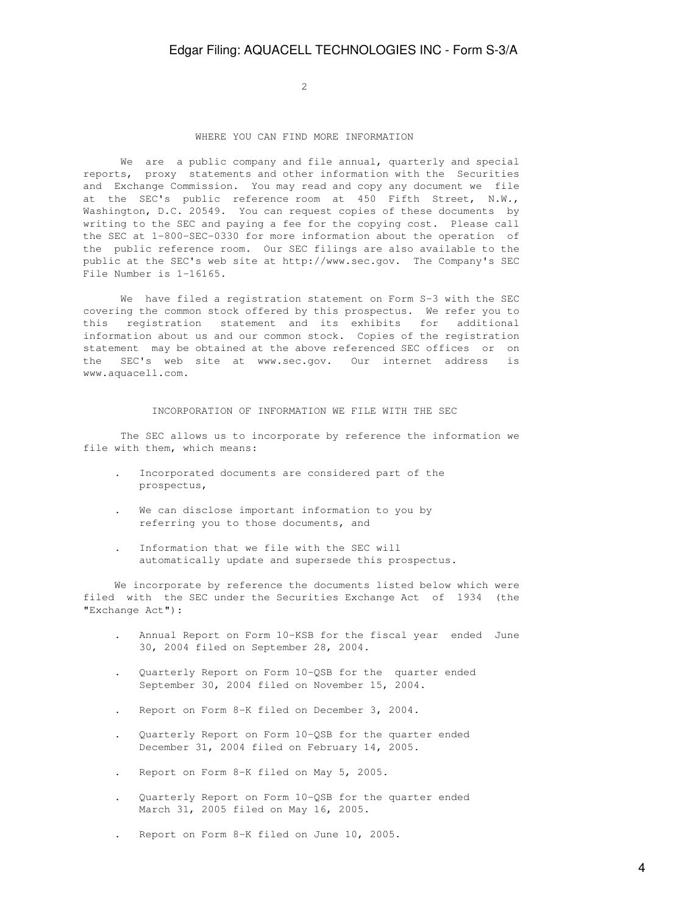2

### WHERE YOU CAN FIND MORE INFORMATION

We are a public company and file annual, quarterly and special reports, proxy statements and other information with the Securities and Exchange Commission. You may read and copy any document we file at the SEC's public reference room at 450 Fifth Street, N.W., Washington, D.C. 20549. You can request copies of these documents by writing to the SEC and paying a fee for the copying cost. Please call the SEC at 1-800-SEC-0330 for more information about the operation of the public reference room. Our SEC filings are also available to the public at the SEC's web site at http://www.sec.gov. The Company's SEC File Number is 1-16165.

We have filed a registration statement on Form S-3 with the SEC covering the common stock offered by this prospectus. We refer you to this registration statement and its exhibits for additional information about us and our common stock. Copies of the registration statement may be obtained at the above referenced SEC offices or on the SEC's web site at www.sec.gov. Our internet address is www.aquacell.com.

#### INCORPORATION OF INFORMATION WE FILE WITH THE SEC

 The SEC allows us to incorporate by reference the information we file with them, which means:

- . Incorporated documents are considered part of the prospectus,
- We can disclose important information to you by referring you to those documents, and
- . Information that we file with the SEC will automatically update and supersede this prospectus.

 We incorporate by reference the documents listed below which were filed with the SEC under the Securities Exchange Act of 1934 (the "Exchange Act"):

- . Annual Report on Form 10-KSB for the fiscal year ended June 30, 2004 filed on September 28, 2004.
- . Quarterly Report on Form 10-QSB for the quarter ended September 30, 2004 filed on November 15, 2004.
- . Report on Form 8-K filed on December 3, 2004.
- . Quarterly Report on Form 10-QSB for the quarter ended December 31, 2004 filed on February 14, 2005.
- . Report on Form 8-K filed on May 5, 2005.
- . Quarterly Report on Form 10-QSB for the quarter ended March 31, 2005 filed on May 16, 2005.
- . Report on Form 8-K filed on June 10, 2005.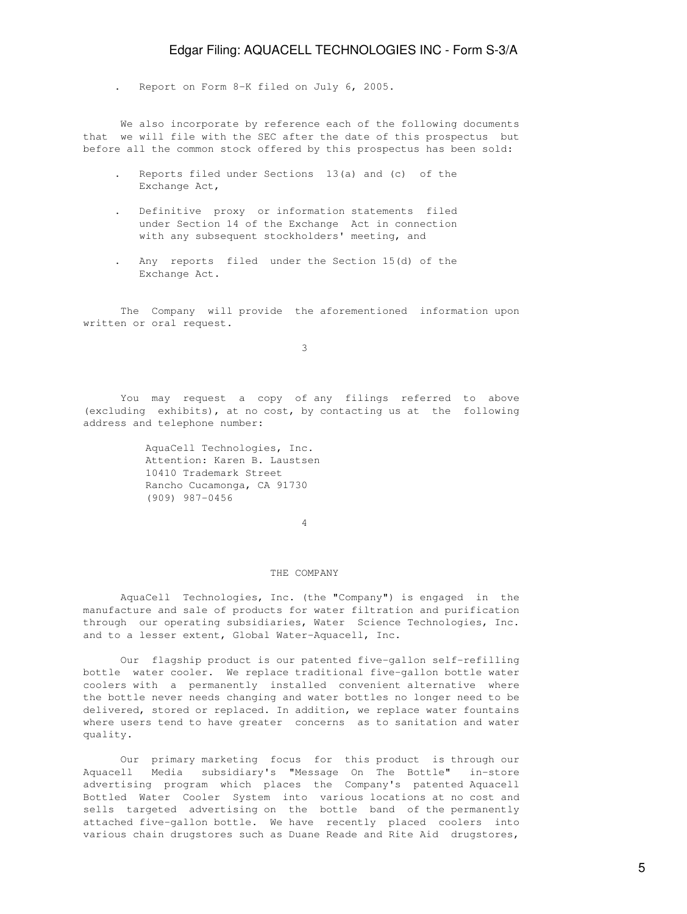. Report on Form 8-K filed on July 6, 2005.

 We also incorporate by reference each of the following documents that we will file with the SEC after the date of this prospectus but before all the common stock offered by this prospectus has been sold:

- . Reports filed under Sections 13(a) and (c) of the Exchange Act,
- . Definitive proxy or information statements filed under Section 14 of the Exchange Act in connection with any subsequent stockholders' meeting, and
- . Any reports filed under the Section 15(d) of the Exchange Act.

 The Company will provide the aforementioned information upon written or oral request.

3

 You may request a copy of any filings referred to above (excluding exhibits), at no cost, by contacting us at the following address and telephone number:

> AquaCell Technologies, Inc. Attention: Karen B. Laustsen 10410 Trademark Street Rancho Cucamonga, CA 91730 (909) 987-0456

4

#### THE COMPANY

 AquaCell Technologies, Inc. (the "Company") is engaged in the manufacture and sale of products for water filtration and purification through our operating subsidiaries, Water Science Technologies, Inc. and to a lesser extent, Global Water-Aquacell, Inc.

 Our flagship product is our patented five-gallon self-refilling bottle water cooler. We replace traditional five-gallon bottle water coolers with a permanently installed convenient alternative where the bottle never needs changing and water bottles no longer need to be delivered, stored or replaced. In addition, we replace water fountains where users tend to have greater concerns as to sanitation and water quality.

 Our primary marketing focus for this product is through our Aquacell Media subsidiary's "Message On The Bottle" in-store advertising program which places the Company's patented Aquacell Bottled Water Cooler System into various locations at no cost and sells targeted advertising on the bottle band of the permanently attached five-gallon bottle. We have recently placed coolers into various chain drugstores such as Duane Reade and Rite Aid drugstores,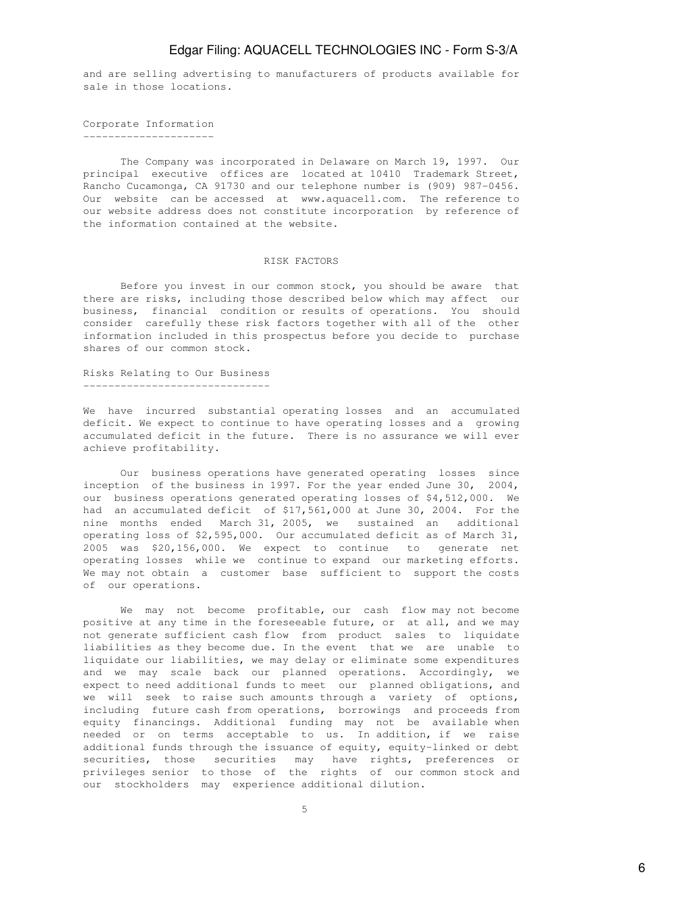and are selling advertising to manufacturers of products available for sale in those locations.

Corporate Information ---------------------

 The Company was incorporated in Delaware on March 19, 1997. Our principal executive offices are located at 10410 Trademark Street, Rancho Cucamonga, CA 91730 and our telephone number is (909) 987-0456. Our website can be accessed at www.aquacell.com. The reference to our website address does not constitute incorporation by reference of the information contained at the website.

### RISK FACTORS

 Before you invest in our common stock, you should be aware that there are risks, including those described below which may affect our business, financial condition or results of operations. You should consider carefully these risk factors together with all of the other information included in this prospectus before you decide to purchase shares of our common stock.

Risks Relating to Our Business ------------------------------

We have incurred substantial operating losses and an accumulated deficit. We expect to continue to have operating losses and a growing accumulated deficit in the future. There is no assurance we will ever achieve profitability.

 Our business operations have generated operating losses since inception of the business in 1997. For the year ended June 30, 2004, our business operations generated operating losses of \$4,512,000. We had an accumulated deficit of \$17,561,000 at June 30, 2004. For the nine months ended March 31, 2005, we sustained an additional operating loss of \$2,595,000. Our accumulated deficit as of March 31, 2005 was \$20,156,000. We expect to continue to generate net operating losses while we continue to expand our marketing efforts. We may not obtain a customer base sufficient to support the costs of our operations.

 We may not become profitable, our cash flow may not become positive at any time in the foreseeable future, or at all, and we may not generate sufficient cash flow from product sales to liquidate liabilities as they become due. In the event that we are unable to liquidate our liabilities, we may delay or eliminate some expenditures and we may scale back our planned operations. Accordingly, we expect to need additional funds to meet our planned obligations, and we will seek to raise such amounts through a variety of options, including future cash from operations, borrowings and proceeds from equity financings. Additional funding may not be available when needed or on terms acceptable to us. In addition, if we raise additional funds through the issuance of equity, equity-linked or debt securities, those securities may have rights, preferences or privileges senior to those of the rights of our common stock and our stockholders may experience additional dilution.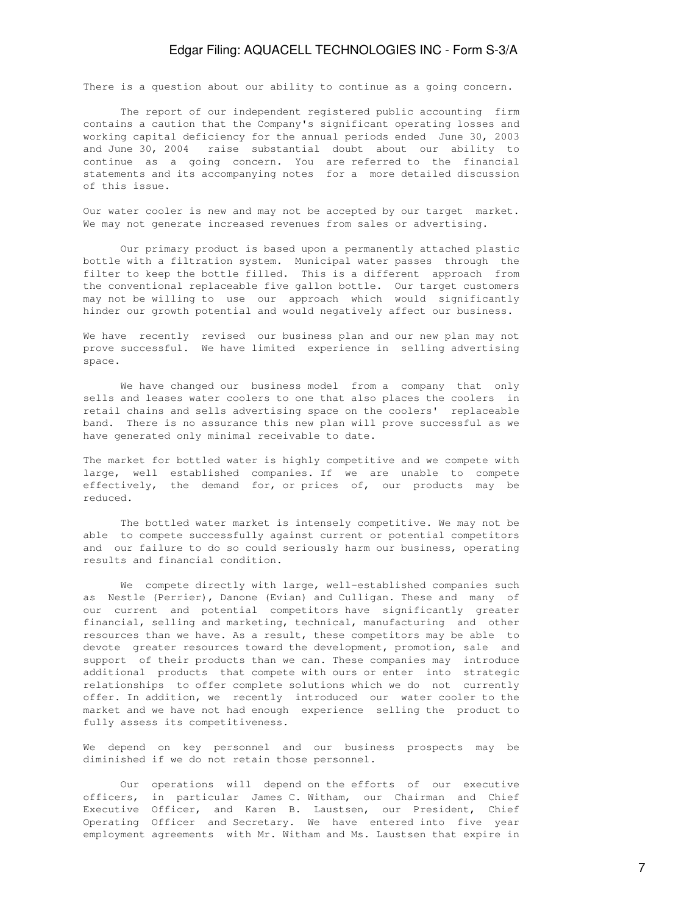There is a question about our ability to continue as a going concern.

 The report of our independent registered public accounting firm contains a caution that the Company's significant operating losses and working capital deficiency for the annual periods ended June 30, 2003 and June 30, 2004 raise substantial doubt about our ability to continue as a going concern. You are referred to the financial statements and its accompanying notes for a more detailed discussion of this issue.

Our water cooler is new and may not be accepted by our target market. We may not generate increased revenues from sales or advertising.

 Our primary product is based upon a permanently attached plastic bottle with a filtration system. Municipal water passes through the filter to keep the bottle filled. This is a different approach from the conventional replaceable five gallon bottle. Our target customers may not be willing to use our approach which would significantly hinder our growth potential and would negatively affect our business.

We have recently revised our business plan and our new plan may not prove successful. We have limited experience in selling advertising space.

 We have changed our business model from a company that only sells and leases water coolers to one that also places the coolers in retail chains and sells advertising space on the coolers' replaceable band. There is no assurance this new plan will prove successful as we have generated only minimal receivable to date.

The market for bottled water is highly competitive and we compete with large, well established companies. If we are unable to compete effectively, the demand for, or prices of, our products may be reduced.

 The bottled water market is intensely competitive. We may not be able to compete successfully against current or potential competitors and our failure to do so could seriously harm our business, operating results and financial condition.

 We compete directly with large, well-established companies such as Nestle (Perrier), Danone (Evian) and Culligan. These and many of our current and potential competitors have significantly greater financial, selling and marketing, technical, manufacturing and other resources than we have. As a result, these competitors may be able to devote greater resources toward the development, promotion, sale and support of their products than we can. These companies may introduce additional products that compete with ours or enter into strategic relationships to offer complete solutions which we do not currently offer. In addition, we recently introduced our water cooler to the market and we have not had enough experience selling the product to fully assess its competitiveness.

We depend on key personnel and our business prospects may be diminished if we do not retain those personnel.

 Our operations will depend on the efforts of our executive officers, in particular James C. Witham, our Chairman and Chief Executive Officer, and Karen B. Laustsen, our President, Chief Operating Officer and Secretary. We have entered into five year employment agreements with Mr. Witham and Ms. Laustsen that expire in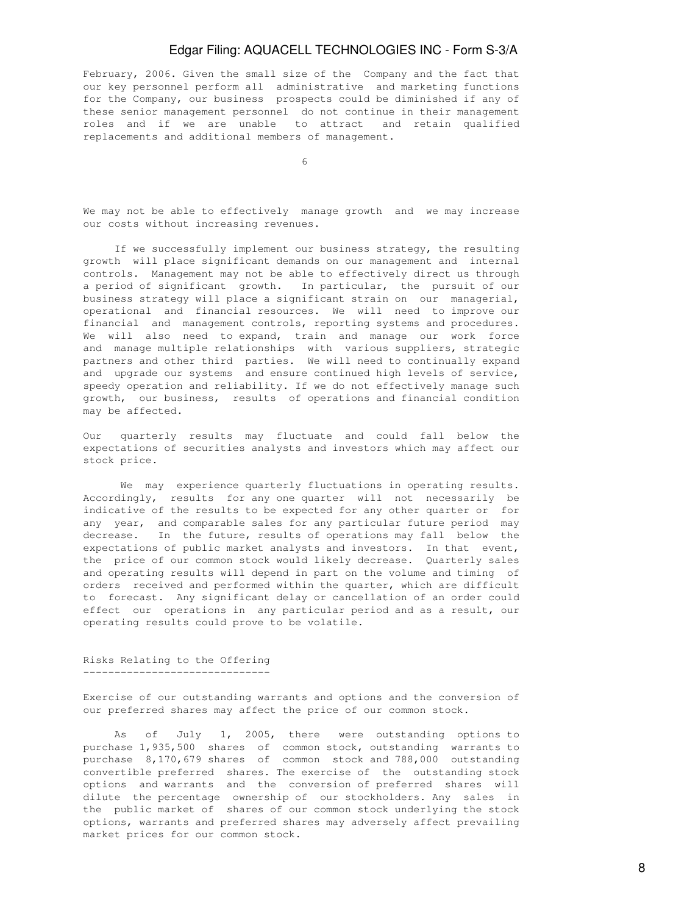February, 2006. Given the small size of the Company and the fact that our key personnel perform all administrative and marketing functions for the Company, our business prospects could be diminished if any of these senior management personnel do not continue in their management roles and if we are unable to attract and retain qualified replacements and additional members of management.

 $\sim$  6

We may not be able to effectively manage growth and we may increase our costs without increasing revenues.

 If we successfully implement our business strategy, the resulting growth will place significant demands on our management and internal controls. Management may not be able to effectively direct us through a period of significant growth. In particular, the pursuit of our business strategy will place a significant strain on our managerial, operational and financial resources. We will need to improve our financial and management controls, reporting systems and procedures. We will also need to expand, train and manage our work force and manage multiple relationships with various suppliers, strategic partners and other third parties. We will need to continually expand and upgrade our systems and ensure continued high levels of service, speedy operation and reliability. If we do not effectively manage such growth, our business, results of operations and financial condition may be affected.

Our quarterly results may fluctuate and could fall below the expectations of securities analysts and investors which may affect our stock price.

 We may experience quarterly fluctuations in operating results. Accordingly, results for any one quarter will not necessarily be indicative of the results to be expected for any other quarter or for any year, and comparable sales for any particular future period may decrease. In the future, results of operations may fall below the expectations of public market analysts and investors. In that event, the price of our common stock would likely decrease. Quarterly sales and operating results will depend in part on the volume and timing of orders received and performed within the quarter, which are difficult to forecast. Any significant delay or cancellation of an order could effect our operations in any particular period and as a result, our operating results could prove to be volatile.

### Risks Relating to the Offering ------------------------------

Exercise of our outstanding warrants and options and the conversion of our preferred shares may affect the price of our common stock.

 As of July 1, 2005, there were outstanding options to purchase 1,935,500 shares of common stock, outstanding warrants to purchase 8,170,679 shares of common stock and 788,000 outstanding convertible preferred shares. The exercise of the outstanding stock options and warrants and the conversion of preferred shares will dilute the percentage ownership of our stockholders. Any sales in the public market of shares of our common stock underlying the stock options, warrants and preferred shares may adversely affect prevailing market prices for our common stock.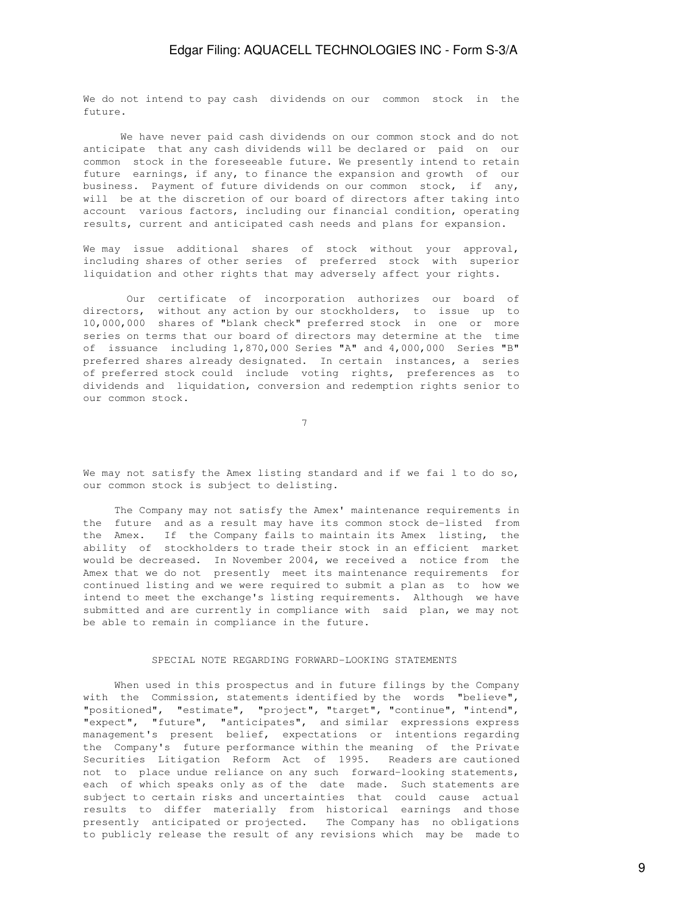We do not intend to pay cash dividends on our common stock in the future.

 We have never paid cash dividends on our common stock and do not anticipate that any cash dividends will be declared or paid on our common stock in the foreseeable future. We presently intend to retain future earnings, if any, to finance the expansion and growth of our business. Payment of future dividends on our common stock, if any, will be at the discretion of our board of directors after taking into account various factors, including our financial condition, operating results, current and anticipated cash needs and plans for expansion.

We may issue additional shares of stock without your approval, including shares of other series of preferred stock with superior liquidation and other rights that may adversely affect your rights.

 Our certificate of incorporation authorizes our board of directors, without any action by our stockholders, to issue up to 10,000,000 shares of "blank check" preferred stock in one or more series on terms that our board of directors may determine at the time of issuance including 1,870,000 Series "A" and 4,000,000 Series "B" preferred shares already designated. In certain instances, a series of preferred stock could include voting rights, preferences as to dividends and liquidation, conversion and redemption rights senior to our common stock.

7

We may not satisfy the Amex listing standard and if we fai l to do so, our common stock is subject to delisting.

 The Company may not satisfy the Amex' maintenance requirements in the future and as a result may have its common stock de-listed from the Amex. If the Company fails to maintain its Amex listing, the ability of stockholders to trade their stock in an efficient market would be decreased. In November 2004, we received a notice from the Amex that we do not presently meet its maintenance requirements for continued listing and we were required to submit a plan as to how we intend to meet the exchange's listing requirements. Although we have submitted and are currently in compliance with said plan, we may not be able to remain in compliance in the future.

### SPECIAL NOTE REGARDING FORWARD-LOOKING STATEMENTS

 When used in this prospectus and in future filings by the Company with the Commission, statements identified by the words "believe", "positioned", "estimate", "project", "target", "continue", "intend", "expect", "future", "anticipates", and similar expressions express management's present belief, expectations or intentions regarding the Company's future performance within the meaning of the Private Securities Litigation Reform Act of 1995. Readers are cautioned not to place undue reliance on any such forward-looking statements, each of which speaks only as of the date made. Such statements are subject to certain risks and uncertainties that could cause actual results to differ materially from historical earnings and those presently anticipated or projected. The Company has no obligations to publicly release the result of any revisions which may be made to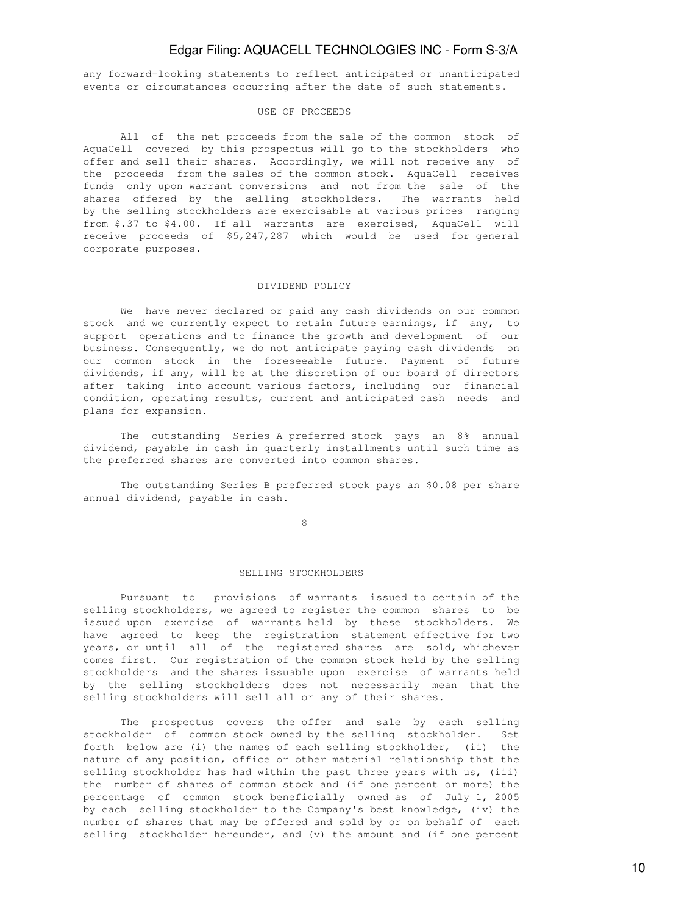any forward-looking statements to reflect anticipated or unanticipated events or circumstances occurring after the date of such statements.

#### USE OF PROCEEDS

 All of the net proceeds from the sale of the common stock of AquaCell covered by this prospectus will go to the stockholders who offer and sell their shares. Accordingly, we will not receive any of the proceeds from the sales of the common stock. AquaCell receives funds only upon warrant conversions and not from the sale of the shares offered by the selling stockholders. The warrants held by the selling stockholders are exercisable at various prices ranging from \$.37 to \$4.00. If all warrants are exercised, AquaCell will receive proceeds of \$5,247,287 which would be used for general corporate purposes.

#### DIVIDEND POLICY

 We have never declared or paid any cash dividends on our common stock and we currently expect to retain future earnings, if any, to support operations and to finance the growth and development of our business. Consequently, we do not anticipate paying cash dividends on our common stock in the foreseeable future. Payment of future dividends, if any, will be at the discretion of our board of directors after taking into account various factors, including our financial condition, operating results, current and anticipated cash needs and plans for expansion.

 The outstanding Series A preferred stock pays an 8% annual dividend, payable in cash in quarterly installments until such time as the preferred shares are converted into common shares.

 The outstanding Series B preferred stock pays an \$0.08 per share annual dividend, payable in cash.

8

#### SELLING STOCKHOLDERS

 Pursuant to provisions of warrants issued to certain of the selling stockholders, we agreed to register the common shares to be issued upon exercise of warrants held by these stockholders. We have agreed to keep the registration statement effective for two years, or until all of the registered shares are sold, whichever comes first. Our registration of the common stock held by the selling stockholders and the shares issuable upon exercise of warrants held by the selling stockholders does not necessarily mean that the selling stockholders will sell all or any of their shares.

 The prospectus covers the offer and sale by each selling stockholder of common stock owned by the selling stockholder. Set forth below are (i) the names of each selling stockholder, (ii) the nature of any position, office or other material relationship that the selling stockholder has had within the past three years with us, (iii) the number of shares of common stock and (if one percent or more) the percentage of common stock beneficially owned as of July 1, 2005 by each selling stockholder to the Company's best knowledge, (iv) the number of shares that may be offered and sold by or on behalf of each selling stockholder hereunder, and (v) the amount and (if one percent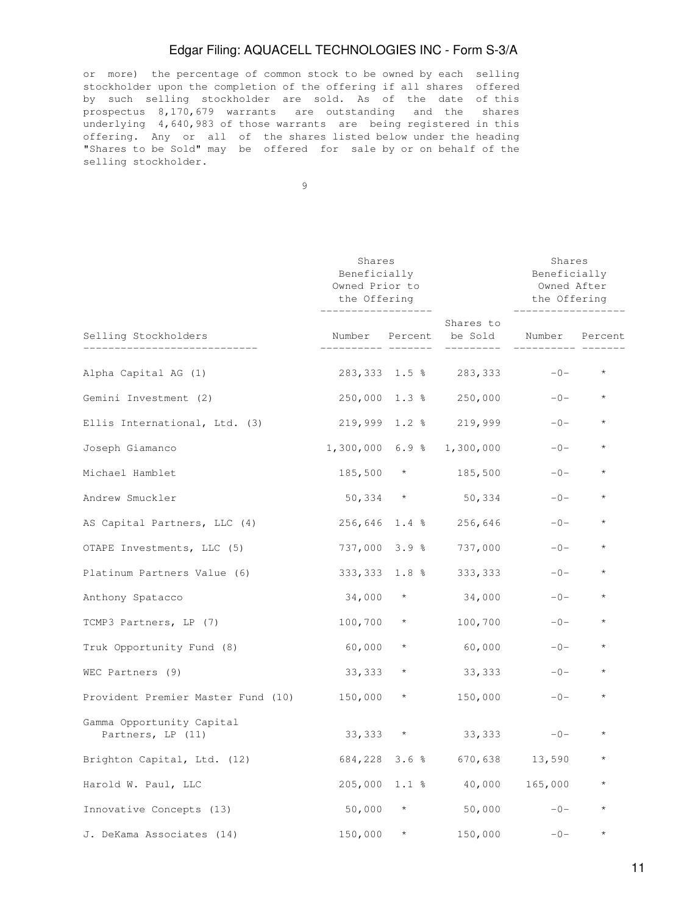or more) the percentage of common stock to be owned by each selling stockholder upon the completion of the offering if all shares offered by such selling stockholder are sold. As of the date of this prospectus 8,170,679 warrants are outstanding and the shares underlying 4,640,983 of those warrants are being registered in this offering. Any or all of the shares listed below under the heading "Shares to be Sold" may be offered for sale by or on behalf of the selling stockholder.

9

|                                                | Shares<br>Beneficially<br>Owned Prior to<br>the Offering |               |                                                                 | Shares<br>Beneficially<br>Owned After<br>the Offering |                  |  |
|------------------------------------------------|----------------------------------------------------------|---------------|-----------------------------------------------------------------|-------------------------------------------------------|------------------|--|
| Selling Stockholders                           | ___________________                                      |               | Shares to<br>Number Percent be Sold Number Percent<br>--------- |                                                       |                  |  |
| Alpha Capital AG (1)                           |                                                          |               | 283,333 1.5 % 283,333                                           |                                                       | $-0-$ *          |  |
| Gemini Investment (2)                          |                                                          |               | 250,000 1.3 % 250,000                                           | $-0-$                                                 | $\star$          |  |
| Ellis International, Ltd. (3)                  |                                                          |               | 219,999 1.2 % 219,999                                           |                                                       | $-0-$<br>$\star$ |  |
| Joseph Giamanco                                |                                                          |               | 1,300,000 6.9 % 1,300,000                                       | $-0-$                                                 | $\star$          |  |
| Michael Hamblet                                |                                                          | $185,500$ *   | 185,500                                                         | $-0-$                                                 | $\star$          |  |
| Andrew Smuckler                                |                                                          | $50,334$ *    | 50,334                                                          | $-0-$                                                 | $\star$          |  |
| AS Capital Partners, LLC (4)                   |                                                          |               | 256,646 1.4 % 256,646                                           | $-0-$                                                 | $\star$          |  |
| OTAPE Investments, LLC (5)                     |                                                          | 737,000 3.9 % | 737,000                                                         | $-0-$                                                 | $\star$          |  |
| Platinum Partners Value (6)                    |                                                          | 333,333 1.8 % | 333,333                                                         | $-0-$                                                 | $^{\star}$       |  |
| Anthony Spatacco                               |                                                          |               | $34,000 \times 34,000$                                          | $-0-$                                                 | $\star$          |  |
| TCMP3 Partners, LP (7)                         |                                                          | $100,700$ *   | 100,700                                                         | $-0-$                                                 | $\star$          |  |
| Truk Opportunity Fund (8)                      | $60,000$ *                                               |               | 60,000                                                          | $-0-$                                                 | $\star$          |  |
| WEC Partners (9)                               | 33,333                                                   | $\star$       | 33,333                                                          | $-0-$                                                 | $\star$          |  |
| Provident Premier Master Fund (10) 150,000 *   |                                                          |               | 150,000                                                         | $-0-$                                                 | $\star$          |  |
| Gamma Opportunity Capital<br>Partners, LP (11) |                                                          | $33,333$ *    |                                                                 | $33,333 -0$                                           | $\star$          |  |
| Brighton Capital, Ltd. (12)                    |                                                          |               | 684,228 3.6 % 670,638 13,590                                    |                                                       |                  |  |
| Harold W. Paul, LLC                            |                                                          |               | 205,000 1.1 % 40,000 165,000                                    |                                                       | $\star$          |  |
| Innovative Concepts (13)                       |                                                          | $50,000$ *    |                                                                 | $50,000$ $-0$ $-$                                     | $\star$          |  |
| J. DeKama Associates (14)                      |                                                          | $150,000$ *   | 150,000                                                         | $-0-$                                                 | $\star$          |  |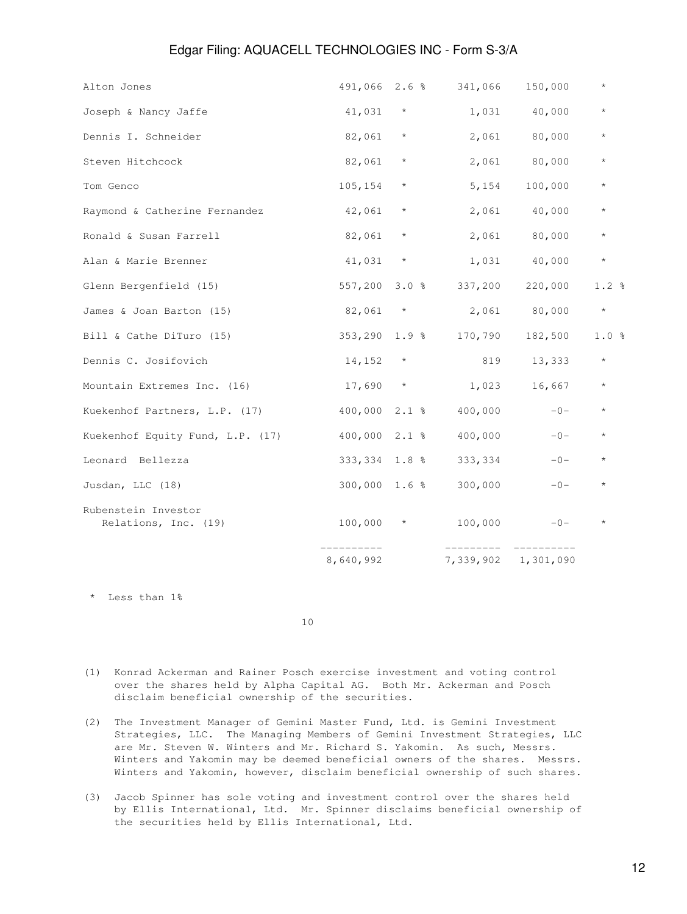|                                             | 8,640,992        |         | 7,339,902 | 1,301,090       |         |
|---------------------------------------------|------------------|---------|-----------|-----------------|---------|
| Rubenstein Investor<br>Relations, Inc. (19) | 100,000          | $\star$ | 100,000   | $-0-$           | $\star$ |
| Jusdan, LLC (18)                            | $300,000$ 1.6 %  |         | 300,000   | $-0-$           | $\star$ |
| Leonard Bellezza                            | 333,334 1.8 %    |         | 333,334   | $-0-$           | $\star$ |
| Kuekenhof Equity Fund, L.P. (17)            | 400,000 2.1 %    |         | 400,000   | $-0-$           | $\star$ |
| Kuekenhof Partners, L.P. (17)               | $400,000$ 2.1 %  |         | 400,000   | $-0-$           | $\star$ |
| Mountain Extremes Inc. (16)                 | $17,690$ *       |         | 1,023     | 16,667          | $\star$ |
| Dennis C. Josifovich                        | $14,152$ *       |         | 819       | 13,333          | $\star$ |
| Bill & Cathe DiTuro (15)                    | $353, 290$ 1.9 % |         | 170,790   | 182,500         | 1.0%    |
| James & Joan Barton (15)                    | 82,061           | $\star$ | 2,061     | 80,000          | $\star$ |
| Glenn Bergenfield (15)                      | 557,200          | 3.0%    |           | 337,200 220,000 | 1.2%    |
| Alan & Marie Brenner                        | 41,031           | $\star$ |           | 1,031 40,000    | $\star$ |
| Ronald & Susan Farrell                      | 82,061           | $\star$ |           | 2,061 80,000    | $\star$ |
| Raymond & Catherine Fernandez               | 42,061           | $\star$ |           | 2,061 40,000    | $\star$ |
| Tom Genco                                   | 105,154          | $\star$ | 5,154     | 100,000         | $\star$ |
| Steven Hitchcock                            | 82,061           | $\star$ |           | 2,061 80,000    | $\star$ |
| Dennis I. Schneider                         | 82,061           | $\star$ | 2,061     | 80,000          | $\star$ |
| Joseph & Nancy Jaffe                        | 41,031           | $\star$ | 1,031     | 40,000          | $\star$ |
| Alton Jones                                 | 491,066 2.6 %    |         | 341,066   | 150,000         | $\star$ |

\* Less than 1%

10

- (1) Konrad Ackerman and Rainer Posch exercise investment and voting control over the shares held by Alpha Capital AG. Both Mr. Ackerman and Posch disclaim beneficial ownership of the securities.
- (2) The Investment Manager of Gemini Master Fund, Ltd. is Gemini Investment Strategies, LLC. The Managing Members of Gemini Investment Strategies, LLC are Mr. Steven W. Winters and Mr. Richard S. Yakomin. As such, Messrs. Winters and Yakomin may be deemed beneficial owners of the shares. Messrs. Winters and Yakomin, however, disclaim beneficial ownership of such shares.
- (3) Jacob Spinner has sole voting and investment control over the shares held by Ellis International, Ltd. Mr. Spinner disclaims beneficial ownership of the securities held by Ellis International, Ltd.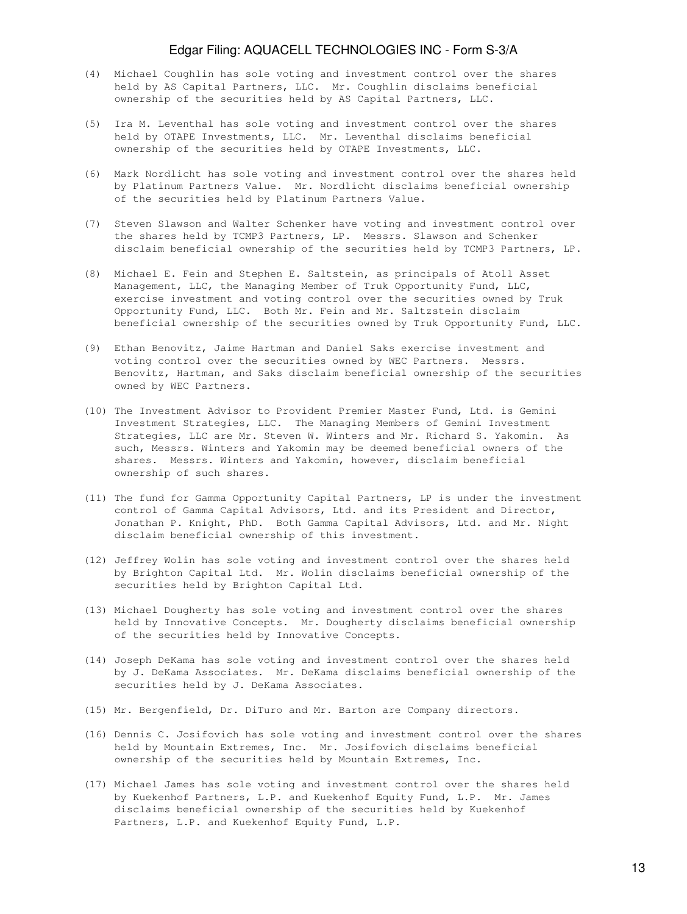- (4) Michael Coughlin has sole voting and investment control over the shares held by AS Capital Partners, LLC. Mr. Coughlin disclaims beneficial ownership of the securities held by AS Capital Partners, LLC.
- (5) Ira M. Leventhal has sole voting and investment control over the shares held by OTAPE Investments, LLC. Mr. Leventhal disclaims beneficial ownership of the securities held by OTAPE Investments, LLC.
- (6) Mark Nordlicht has sole voting and investment control over the shares held by Platinum Partners Value. Mr. Nordlicht disclaims beneficial ownership of the securities held by Platinum Partners Value.
- (7) Steven Slawson and Walter Schenker have voting and investment control over the shares held by TCMP3 Partners, LP. Messrs. Slawson and Schenker disclaim beneficial ownership of the securities held by TCMP3 Partners, LP.
- (8) Michael E. Fein and Stephen E. Saltstein, as principals of Atoll Asset Management, LLC, the Managing Member of Truk Opportunity Fund, LLC, exercise investment and voting control over the securities owned by Truk Opportunity Fund, LLC. Both Mr. Fein and Mr. Saltzstein disclaim beneficial ownership of the securities owned by Truk Opportunity Fund, LLC.
- (9) Ethan Benovitz, Jaime Hartman and Daniel Saks exercise investment and voting control over the securities owned by WEC Partners. Messrs. Benovitz, Hartman, and Saks disclaim beneficial ownership of the securities owned by WEC Partners.
- (10) The Investment Advisor to Provident Premier Master Fund, Ltd. is Gemini Investment Strategies, LLC. The Managing Members of Gemini Investment Strategies, LLC are Mr. Steven W. Winters and Mr. Richard S. Yakomin. As such, Messrs. Winters and Yakomin may be deemed beneficial owners of the shares. Messrs. Winters and Yakomin, however, disclaim beneficial ownership of such shares.
- (11) The fund for Gamma Opportunity Capital Partners, LP is under the investment control of Gamma Capital Advisors, Ltd. and its President and Director, Jonathan P. Knight, PhD. Both Gamma Capital Advisors, Ltd. and Mr. Night disclaim beneficial ownership of this investment.
- (12) Jeffrey Wolin has sole voting and investment control over the shares held by Brighton Capital Ltd. Mr. Wolin disclaims beneficial ownership of the securities held by Brighton Capital Ltd.
- (13) Michael Dougherty has sole voting and investment control over the shares held by Innovative Concepts. Mr. Dougherty disclaims beneficial ownership of the securities held by Innovative Concepts.
- (14) Joseph DeKama has sole voting and investment control over the shares held by J. DeKama Associates. Mr. DeKama disclaims beneficial ownership of the securities held by J. DeKama Associates.
- (15) Mr. Bergenfield, Dr. DiTuro and Mr. Barton are Company directors.
- (16) Dennis C. Josifovich has sole voting and investment control over the shares held by Mountain Extremes, Inc. Mr. Josifovich disclaims beneficial ownership of the securities held by Mountain Extremes, Inc.
- (17) Michael James has sole voting and investment control over the shares held by Kuekenhof Partners, L.P. and Kuekenhof Equity Fund, L.P. Mr. James disclaims beneficial ownership of the securities held by Kuekenhof Partners, L.P. and Kuekenhof Equity Fund, L.P.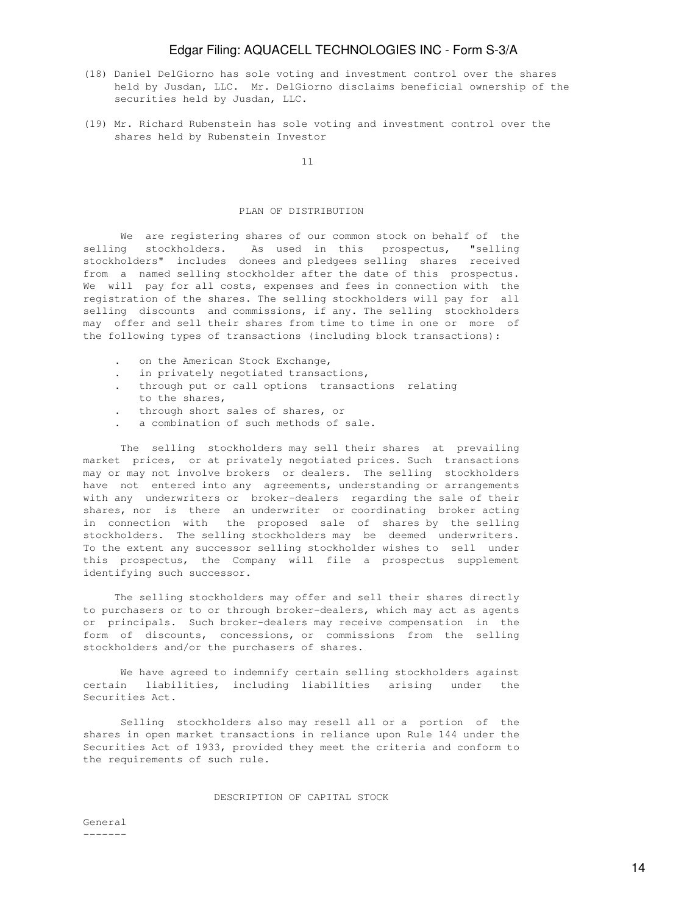- (18) Daniel DelGiorno has sole voting and investment control over the shares held by Jusdan, LLC. Mr. DelGiorno disclaims beneficial ownership of the securities held by Jusdan, LLC.
- (19) Mr. Richard Rubenstein has sole voting and investment control over the shares held by Rubenstein Investor

11

### PLAN OF DISTRIBUTION

 We are registering shares of our common stock on behalf of the selling stockholders. As used in this prospectus, "selling stockholders" includes donees and pledgees selling shares received from a named selling stockholder after the date of this prospectus. We will pay for all costs, expenses and fees in connection with the registration of the shares. The selling stockholders will pay for all selling discounts and commissions, if any. The selling stockholders may offer and sell their shares from time to time in one or more of the following types of transactions (including block transactions):

- on the American Stock Exchange,
- in privately negotiated transactions,
- . through put or call options transactions relating to the shares,
- . through short sales of shares, or
- . a combination of such methods of sale.

 The selling stockholders may sell their shares at prevailing market prices, or at privately negotiated prices. Such transactions may or may not involve brokers or dealers. The selling stockholders have not entered into any agreements, understanding or arrangements with any underwriters or broker-dealers regarding the sale of their shares, nor is there an underwriter or coordinating broker acting in connection with the proposed sale of shares by the selling stockholders. The selling stockholders may be deemed underwriters. To the extent any successor selling stockholder wishes to sell under this prospectus, the Company will file a prospectus supplement identifying such successor.

 The selling stockholders may offer and sell their shares directly to purchasers or to or through broker-dealers, which may act as agents or principals. Such broker-dealers may receive compensation in the form of discounts, concessions, or commissions from the selling stockholders and/or the purchasers of shares.

 We have agreed to indemnify certain selling stockholders against certain liabilities, including liabilities arising under the Securities Act.

 Selling stockholders also may resell all or a portion of the shares in open market transactions in reliance upon Rule 144 under the Securities Act of 1933, provided they meet the criteria and conform to the requirements of such rule.

#### DESCRIPTION OF CAPITAL STOCK

General -------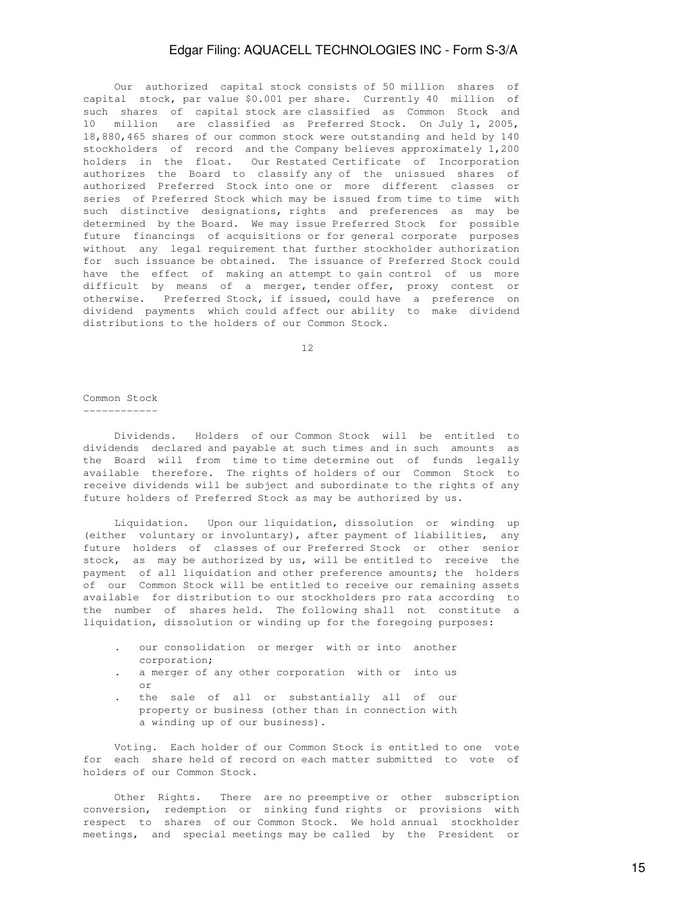Our authorized capital stock consists of 50 million shares of capital stock, par value \$0.001 per share. Currently 40 million of such shares of capital stock are classified as Common Stock and 10 million are classified as Preferred Stock. On July 1, 2005, 18,880,465 shares of our common stock were outstanding and held by 140 stockholders of record and the Company believes approximately 1,200 holders in the float. Our Restated Certificate of Incorporation authorizes the Board to classify any of the unissued shares of authorized Preferred Stock into one or more different classes or series of Preferred Stock which may be issued from time to time with such distinctive designations, rights and preferences as may be determined by the Board. We may issue Preferred Stock for possible future financings of acquisitions or for general corporate purposes without any legal requirement that further stockholder authorization for such issuance be obtained. The issuance of Preferred Stock could have the effect of making an attempt to gain control of us more difficult by means of a merger, tender offer, proxy contest or otherwise. Preferred Stock, if issued, could have a preference on dividend payments which could affect our ability to make dividend distributions to the holders of our Common Stock.

12

### Common Stock

------------

 Dividends. Holders of our Common Stock will be entitled to dividends declared and payable at such times and in such amounts as the Board will from time to time determine out of funds legally available therefore. The rights of holders of our Common Stock to receive dividends will be subject and subordinate to the rights of any future holders of Preferred Stock as may be authorized by us.

 Liquidation. Upon our liquidation, dissolution or winding up (either voluntary or involuntary), after payment of liabilities, any future holders of classes of our Preferred Stock or other senior stock, as may be authorized by us, will be entitled to receive the payment of all liquidation and other preference amounts; the holders of our Common Stock will be entitled to receive our remaining assets available for distribution to our stockholders pro rata according to the number of shares held. The following shall not constitute a liquidation, dissolution or winding up for the foregoing purposes:

- . our consolidation or merger with or into another corporation;
- . a merger of any other corporation with or into us or
- . the sale of all or substantially all of our property or business (other than in connection with a winding up of our business).

 Voting. Each holder of our Common Stock is entitled to one vote for each share held of record on each matter submitted to vote of holders of our Common Stock.

 Other Rights. There are no preemptive or other subscription conversion, redemption or sinking fund rights or provisions with respect to shares of our Common Stock. We hold annual stockholder meetings, and special meetings may be called by the President or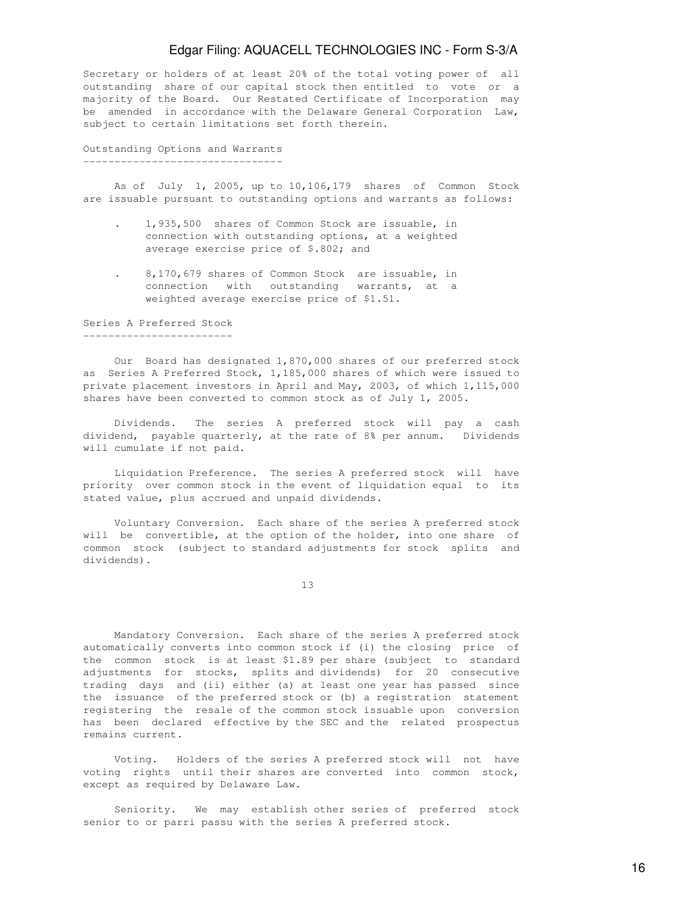Secretary or holders of at least 20% of the total voting power of all outstanding share of our capital stock then entitled to vote or a majority of the Board. Our Restated Certificate of Incorporation may be amended in accordance with the Delaware General Corporation Law, subject to certain limitations set forth therein.

Outstanding Options and Warrants --------------------------------

 As of July 1, 2005, up to 10,106,179 shares of Common Stock are issuable pursuant to outstanding options and warrants as follows:

- . 1,935,500 shares of Common Stock are issuable, in connection with outstanding options, at a weighted average exercise price of \$.802; and
- . 8,170,679 shares of Common Stock are issuable, in connection with outstanding warrants, at a weighted average exercise price of \$1.51.

Series A Preferred Stock ------------------------

 Our Board has designated 1,870,000 shares of our preferred stock as Series A Preferred Stock, 1,185,000 shares of which were issued to private placement investors in April and May, 2003, of which 1,115,000 shares have been converted to common stock as of July 1, 2005.

 Dividends. The series A preferred stock will pay a cash dividend, payable quarterly, at the rate of 8% per annum. Dividends will cumulate if not paid.

 Liquidation Preference. The series A preferred stock will have priority over common stock in the event of liquidation equal to its stated value, plus accrued and unpaid dividends.

 Voluntary Conversion. Each share of the series A preferred stock will be convertible, at the option of the holder, into one share of common stock (subject to standard adjustments for stock splits and dividends).

13

 Mandatory Conversion. Each share of the series A preferred stock automatically converts into common stock if (i) the closing price of the common stock is at least \$1.89 per share (subject to standard adjustments for stocks, splits and dividends) for 20 consecutive trading days and (ii) either (a) at least one year has passed since the issuance of the preferred stock or (b) a registration statement registering the resale of the common stock issuable upon conversion has been declared effective by the SEC and the related prospectus remains current.

 Voting. Holders of the series A preferred stock will not have voting rights until their shares are converted into common stock, except as required by Delaware Law.

 Seniority. We may establish other series of preferred stock senior to or parri passu with the series A preferred stock.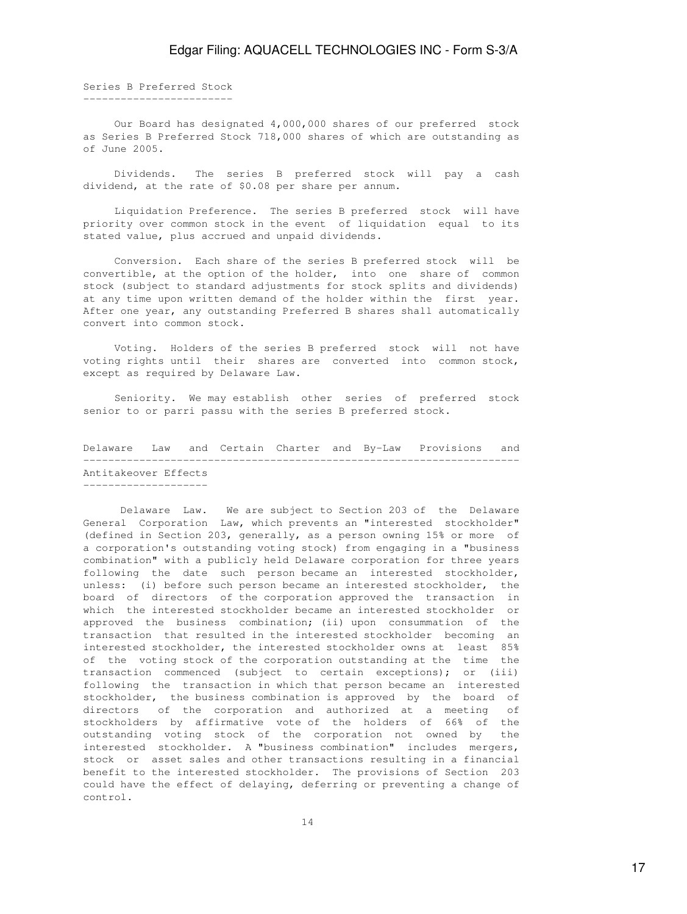Series B Preferred Stock ------------------------

 Our Board has designated 4,000,000 shares of our preferred stock as Series B Preferred Stock 718,000 shares of which are outstanding as of June 2005.

 Dividends. The series B preferred stock will pay a cash dividend, at the rate of \$0.08 per share per annum.

 Liquidation Preference. The series B preferred stock will have priority over common stock in the event of liquidation equal to its stated value, plus accrued and unpaid dividends.

 Conversion. Each share of the series B preferred stock will be convertible, at the option of the holder, into one share of common stock (subject to standard adjustments for stock splits and dividends) at any time upon written demand of the holder within the first year. After one year, any outstanding Preferred B shares shall automatically convert into common stock.

 Voting. Holders of the series B preferred stock will not have voting rights until their shares are converted into common stock, except as required by Delaware Law.

 Seniority. We may establish other series of preferred stock senior to or parri passu with the series B preferred stock.

Delaware Law and Certain Charter and By-Law Provisions and ---------------------------------------------------------------------- Antitakeover Effects --------------------

 Delaware Law. We are subject to Section 203 of the Delaware General Corporation Law, which prevents an "interested stockholder" (defined in Section 203, generally, as a person owning 15% or more of a corporation's outstanding voting stock) from engaging in a "business combination" with a publicly held Delaware corporation for three years following the date such person became an interested stockholder, unless: (i) before such person became an interested stockholder, the board of directors of the corporation approved the transaction in which the interested stockholder became an interested stockholder or approved the business combination; (ii) upon consummation of the transaction that resulted in the interested stockholder becoming an interested stockholder, the interested stockholder owns at least 85% of the voting stock of the corporation outstanding at the time the transaction commenced (subject to certain exceptions); or (iii) following the transaction in which that person became an interested stockholder, the business combination is approved by the board of directors of the corporation and authorized at a meeting of stockholders by affirmative vote of the holders of 66% of the outstanding voting stock of the corporation not owned by the interested stockholder. A "business combination" includes mergers, stock or asset sales and other transactions resulting in a financial benefit to the interested stockholder. The provisions of Section 203 could have the effect of delaying, deferring or preventing a change of control.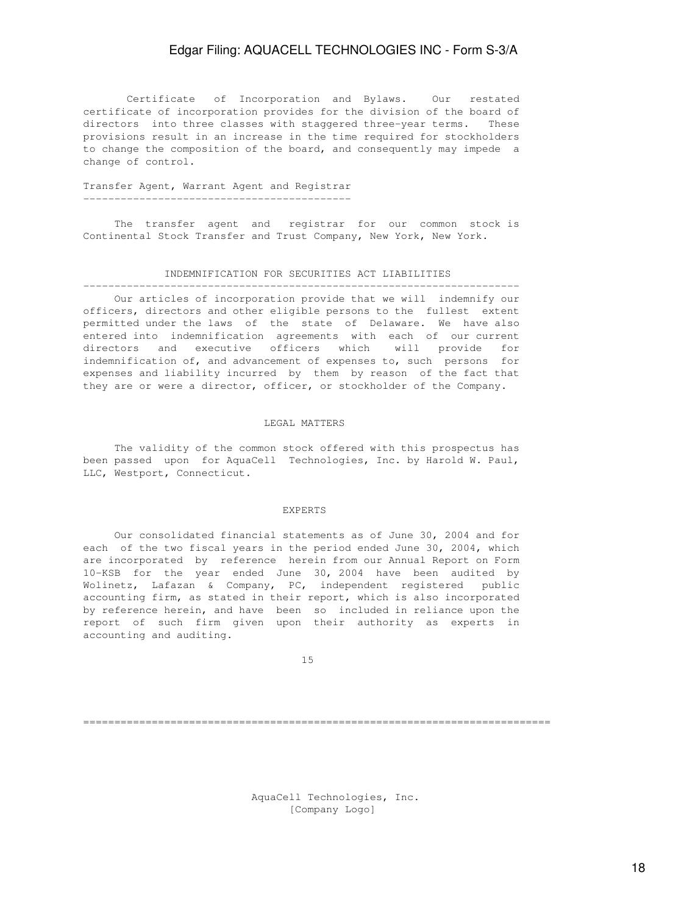Certificate of Incorporation and Bylaws. Our restated certificate of incorporation provides for the division of the board of directors into three classes with staggered three-year terms. These provisions result in an increase in the time required for stockholders to change the composition of the board, and consequently may impede a change of control.

### Transfer Agent, Warrant Agent and Registrar -------------------------------------------

 The transfer agent and registrar for our common stock is Continental Stock Transfer and Trust Company, New York, New York.

#### INDEMNIFICATION FOR SECURITIES ACT LIABILITIES

---------------------------------------------------------------------- Our articles of incorporation provide that we will indemnify our officers, directors and other eligible persons to the fullest extent permitted under the laws of the state of Delaware. We have also entered into indemnification agreements with each of our current directors and executive officers which will provide for indemnification of, and advancement of expenses to, such persons for expenses and liability incurred by them by reason of the fact that they are or were a director, officer, or stockholder of the Company.

#### LEGAL MATTERS

 The validity of the common stock offered with this prospectus has been passed upon for AquaCell Technologies, Inc. by Harold W. Paul, LLC, Westport, Connecticut.

#### EXPERTS

 Our consolidated financial statements as of June 30, 2004 and for each of the two fiscal years in the period ended June 30, 2004, which are incorporated by reference herein from our Annual Report on Form 10-KSB for the year ended June 30, 2004 have been audited by Wolinetz, Lafazan & Company, PC, independent registered public accounting firm, as stated in their report, which is also incorporated by reference herein, and have been so included in reliance upon the report of such firm given upon their authority as experts in accounting and auditing.

15

===========================================================================

 AquaCell Technologies, Inc. [Company Logo]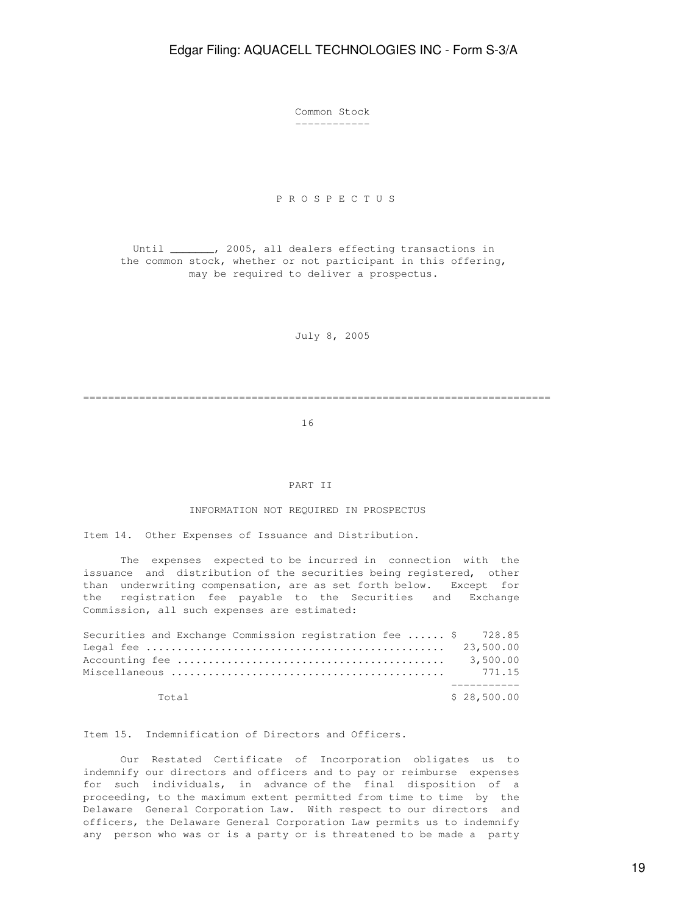Common Stock ------------

### P R O S P E C T U S

 Until \_\_\_\_\_\_\_, 2005, all dealers effecting transactions in the common stock, whether or not participant in this offering, may be required to deliver a prospectus.

July 8, 2005

===========================================================================

16

### PART II

### INFORMATION NOT REQUIRED IN PROSPECTUS

Item 14. Other Expenses of Issuance and Distribution.

 The expenses expected to be incurred in connection with the issuance and distribution of the securities being registered, other than underwriting compensation, are as set forth below. Except for the registration fee payable to the Securities and Exchange Commission, all such expenses are estimated:

| Securities and Exchange Commission registration fee  \$ 728.85 |  |  |             |
|----------------------------------------------------------------|--|--|-------------|
|                                                                |  |  |             |
|                                                                |  |  |             |
|                                                                |  |  |             |
|                                                                |  |  |             |
| Total                                                          |  |  | \$28,500.00 |

Item 15. Indemnification of Directors and Officers.

 Our Restated Certificate of Incorporation obligates us to indemnify our directors and officers and to pay or reimburse expenses for such individuals, in advance of the final disposition of a proceeding, to the maximum extent permitted from time to time by the Delaware General Corporation Law. With respect to our directors and officers, the Delaware General Corporation Law permits us to indemnify any person who was or is a party or is threatened to be made a party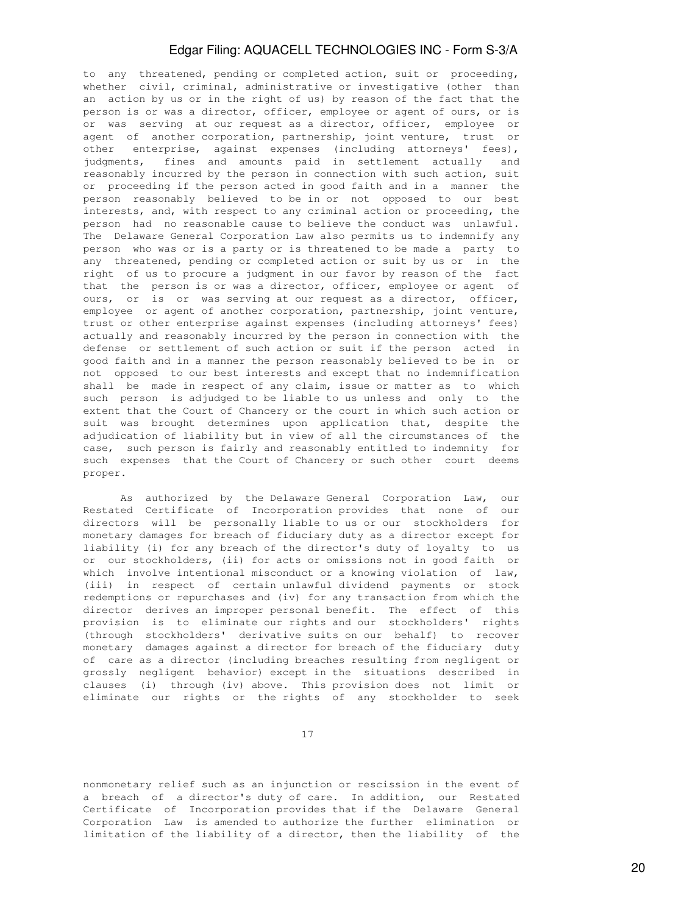to any threatened, pending or completed action, suit or proceeding, whether civil, criminal, administrative or investigative (other than an action by us or in the right of us) by reason of the fact that the person is or was a director, officer, employee or agent of ours, or is or was serving at our request as a director, officer, employee or agent of another corporation, partnership, joint venture, trust or other enterprise, against expenses (including attorneys' fees), judgments, fines and amounts paid in settlement actually and reasonably incurred by the person in connection with such action, suit or proceeding if the person acted in good faith and in a manner the person reasonably believed to be in or not opposed to our best interests, and, with respect to any criminal action or proceeding, the person had no reasonable cause to believe the conduct was unlawful. The Delaware General Corporation Law also permits us to indemnify any person who was or is a party or is threatened to be made a party to any threatened, pending or completed action or suit by us or in the right of us to procure a judgment in our favor by reason of the fact that the person is or was a director, officer, employee or agent of ours, or is or was serving at our request as a director, officer, employee or agent of another corporation, partnership, joint venture, trust or other enterprise against expenses (including attorneys' fees) actually and reasonably incurred by the person in connection with the defense or settlement of such action or suit if the person acted in good faith and in a manner the person reasonably believed to be in or not opposed to our best interests and except that no indemnification shall be made in respect of any claim, issue or matter as to which such person is adjudged to be liable to us unless and only to the extent that the Court of Chancery or the court in which such action or suit was brought determines upon application that, despite the adjudication of liability but in view of all the circumstances of the case, such person is fairly and reasonably entitled to indemnity for such expenses that the Court of Chancery or such other court deems proper.

 As authorized by the Delaware General Corporation Law, our Restated Certificate of Incorporation provides that none of our directors will be personally liable to us or our stockholders for monetary damages for breach of fiduciary duty as a director except for liability (i) for any breach of the director's duty of loyalty to us or our stockholders, (ii) for acts or omissions not in good faith or which involve intentional misconduct or a knowing violation of law, (iii) in respect of certain unlawful dividend payments or stock redemptions or repurchases and (iv) for any transaction from which the director derives an improper personal benefit. The effect of this provision is to eliminate our rights and our stockholders' rights (through stockholders' derivative suits on our behalf) to recover monetary damages against a director for breach of the fiduciary duty of care as a director (including breaches resulting from negligent or grossly negligent behavior) except in the situations described in clauses (i) through (iv) above. This provision does not limit or eliminate our rights or the rights of any stockholder to seek

17

nonmonetary relief such as an injunction or rescission in the event of a breach of a director's duty of care. In addition, our Restated Certificate of Incorporation provides that if the Delaware General Corporation Law is amended to authorize the further elimination or limitation of the liability of a director, then the liability of the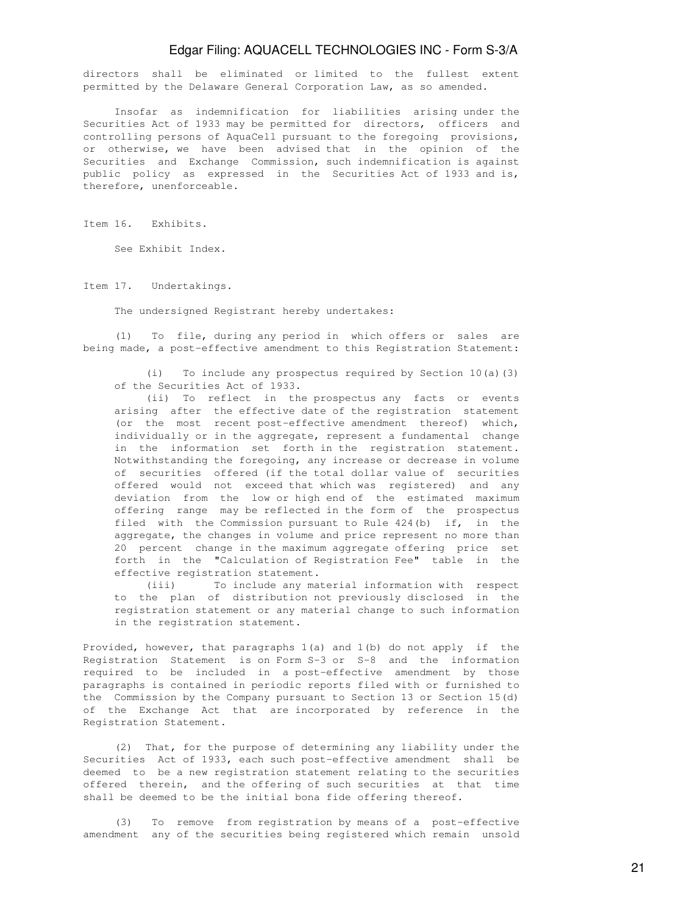directors shall be eliminated or limited to the fullest extent permitted by the Delaware General Corporation Law, as so amended.

 Insofar as indemnification for liabilities arising under the Securities Act of 1933 may be permitted for directors, officers and controlling persons of AquaCell pursuant to the foregoing provisions, or otherwise, we have been advised that in the opinion of the Securities and Exchange Commission, such indemnification is against public policy as expressed in the Securities Act of 1933 and is, therefore, unenforceable.

Item 16. Exhibits.

See Exhibit Index.

Item 17. Undertakings.

The undersigned Registrant hereby undertakes:

 (1) To file, during any period in which offers or sales are being made, a post-effective amendment to this Registration Statement:

 (i) To include any prospectus required by Section 10(a)(3) of the Securities Act of 1933.

 (ii) To reflect in the prospectus any facts or events arising after the effective date of the registration statement (or the most recent post-effective amendment thereof) which, individually or in the aggregate, represent a fundamental change in the information set forth in the registration statement. Notwithstanding the foregoing, any increase or decrease in volume of securities offered (if the total dollar value of securities offered would not exceed that which was registered) and any deviation from the low or high end of the estimated maximum offering range may be reflected in the form of the prospectus filed with the Commission pursuant to Rule 424(b) if, in the aggregate, the changes in volume and price represent no more than 20 percent change in the maximum aggregate offering price set forth in the "Calculation of Registration Fee" table in the effective registration statement.

 (iii) To include any material information with respect to the plan of distribution not previously disclosed in the registration statement or any material change to such information in the registration statement.

Provided, however, that paragraphs 1(a) and 1(b) do not apply if the Registration Statement is on Form S-3 or S-8 and the information required to be included in a post-effective amendment by those paragraphs is contained in periodic reports filed with or furnished to the Commission by the Company pursuant to Section 13 or Section 15(d) of the Exchange Act that are incorporated by reference in the Registration Statement.

 (2) That, for the purpose of determining any liability under the Securities Act of 1933, each such post-effective amendment shall be deemed to be a new registration statement relating to the securities offered therein, and the offering of such securities at that time shall be deemed to be the initial bona fide offering thereof.

 (3) To remove from registration by means of a post-effective amendment any of the securities being registered which remain unsold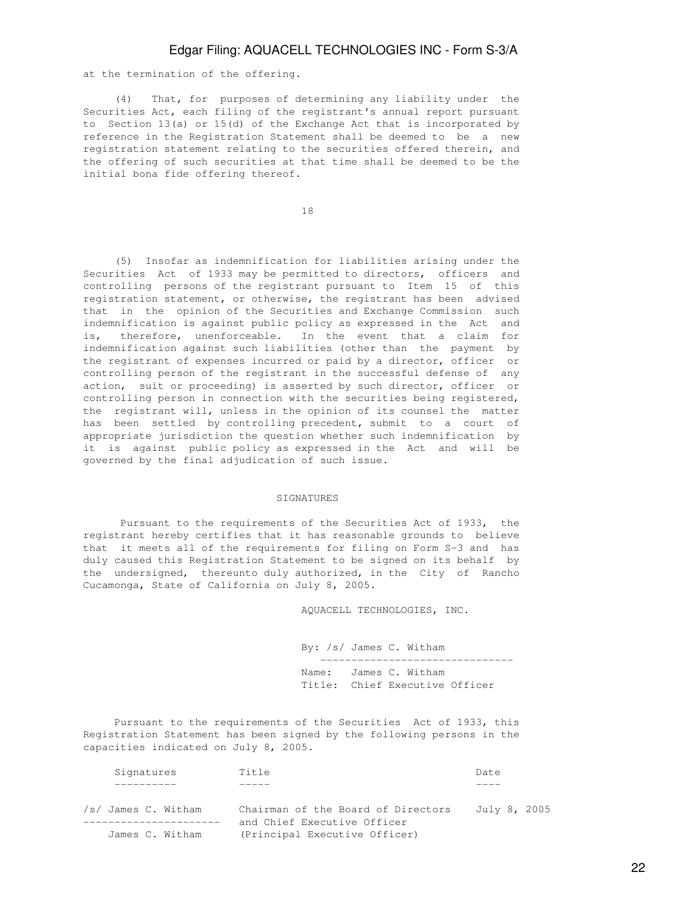at the termination of the offering.

 (4) That, for purposes of determining any liability under the Securities Act, each filing of the registrant's annual report pursuant to Section 13(a) or 15(d) of the Exchange Act that is incorporated by reference in the Registration Statement shall be deemed to be a new registration statement relating to the securities offered therein, and the offering of such securities at that time shall be deemed to be the initial bona fide offering thereof.

18

 (5) Insofar as indemnification for liabilities arising under the Securities Act of 1933 may be permitted to directors, officers and controlling persons of the registrant pursuant to Item 15 of this registration statement, or otherwise, the registrant has been advised that in the opinion of the Securities and Exchange Commission such indemnification is against public policy as expressed in the Act and is, therefore, unenforceable. In the event that a claim for indemnification against such liabilities (other than the payment by the registrant of expenses incurred or paid by a director, officer or controlling person of the registrant in the successful defense of any action, suit or proceeding) is asserted by such director, officer or controlling person in connection with the securities being registered, the registrant will, unless in the opinion of its counsel the matter has been settled by controlling precedent, submit to a court of appropriate jurisdiction the question whether such indemnification by it is against public policy as expressed in the Act and will be governed by the final adjudication of such issue.

#### SIGNATURES

 Pursuant to the requirements of the Securities Act of 1933, the registrant hereby certifies that it has reasonable grounds to believe that it meets all of the requirements for filing on Form S-3 and has duly caused this Registration Statement to be signed on its behalf by the undersigned, thereunto duly authorized, in the City of Rancho Cucamonga, State of California on July 8, 2005.

AQUACELL TECHNOLOGIES, INC.

 By: /s/ James C. Witham ------------------------------- Name: James C. Witham Title: Chief Executive Officer

 Pursuant to the requirements of the Securities Act of 1933, this Registration Statement has been signed by the following persons in the capacities indicated on July 8, 2005.

| Signatures                             | Title                                                                                              | Date         |
|----------------------------------------|----------------------------------------------------------------------------------------------------|--------------|
|                                        |                                                                                                    |              |
| /s/ James C. Witham<br>James C. Witham | Chairman of the Board of Directors<br>and Chief Executive Officer<br>(Principal Executive Officer) | July 8, 2005 |